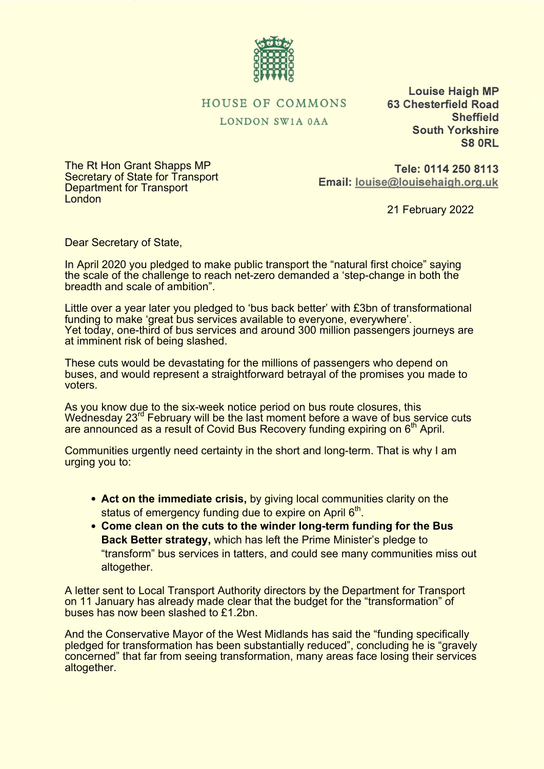

## HOUSE OF COMMONS

LONDON SW1A 0AA

**Louise Haigh MP 63 Chesterfield Road Sheffield South Yorkshire** S8 ORL

The Rt Hon Grant Shapps MP Secretary of State for Transport Department for Transport **London** 

Tele: 0114 250 8113 Email: louise@louisehaigh.org.uk

21 February 2022

Dear Secretary of State,

In April 2020 you pledged to make public transport the "natural first choice" saying the scale of the challenge to reach net-zero demanded a 'step-change in both the breadth and scale of ambition".

Little over a year later you pledged to 'bus back better' with £3bn of transformational funding to make 'great bus services available to everyone, everywhere'. Yet today, one-third of bus services and around 300 million passengers journeys are at imminent risk of being slashed.

These cuts would be devastating for the millions of passengers who depend on buses, and would represent a straightforward betrayal of the promises you made to voters.

As you know due to the six-week notice period on bus route closures, this Wednesday 23<sup>rd</sup> February will be the last moment before a wave of bus service cuts are announced as a result of Covid Bus Recovery funding expiring on 6<sup>th</sup> April.

Communities urgently need certainty in the short and long-term. That is why I am urging you to:

- **Act on the immediate crisis,** by giving local communities clarity on the status of emergency funding due to expire on April 6<sup>th</sup>.
- **Come clean on the cuts to the winder long-term funding for the Bus Back Better strategy,** which has left the Prime Minister's pledge to "transform" bus services in tatters, and could see many communities miss out altogether.

A letter sent to Local Transport Authority directors by the Department for Transport on 11 January has already made clear that the budget for the "transformation" of buses has now been slashed to £1.2bn.

And the Conservative Mayor of the West Midlands has said the "funding specifically pledged for transformation has been substantially reduced", concluding he is "gravely concerned" that far from seeing transformation, many areas face losing their services altogether.